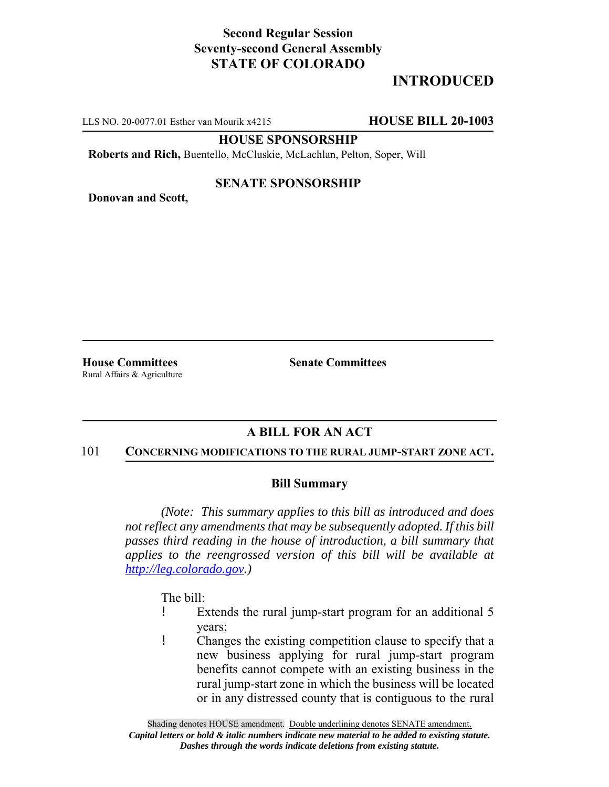## **Second Regular Session Seventy-second General Assembly STATE OF COLORADO**

# **INTRODUCED**

LLS NO. 20-0077.01 Esther van Mourik x4215 **HOUSE BILL 20-1003**

**HOUSE SPONSORSHIP**

**Roberts and Rich,** Buentello, McCluskie, McLachlan, Pelton, Soper, Will

## **SENATE SPONSORSHIP**

**Donovan and Scott,**

Rural Affairs & Agriculture

**House Committees Senate Committees** 

## **A BILL FOR AN ACT**

### 101 **CONCERNING MODIFICATIONS TO THE RURAL JUMP-START ZONE ACT.**

### **Bill Summary**

*(Note: This summary applies to this bill as introduced and does not reflect any amendments that may be subsequently adopted. If this bill passes third reading in the house of introduction, a bill summary that applies to the reengrossed version of this bill will be available at http://leg.colorado.gov.)*

The bill:

- ! Extends the rural jump-start program for an additional 5 years;
- ! Changes the existing competition clause to specify that a new business applying for rural jump-start program benefits cannot compete with an existing business in the rural jump-start zone in which the business will be located or in any distressed county that is contiguous to the rural

Shading denotes HOUSE amendment. Double underlining denotes SENATE amendment. *Capital letters or bold & italic numbers indicate new material to be added to existing statute. Dashes through the words indicate deletions from existing statute.*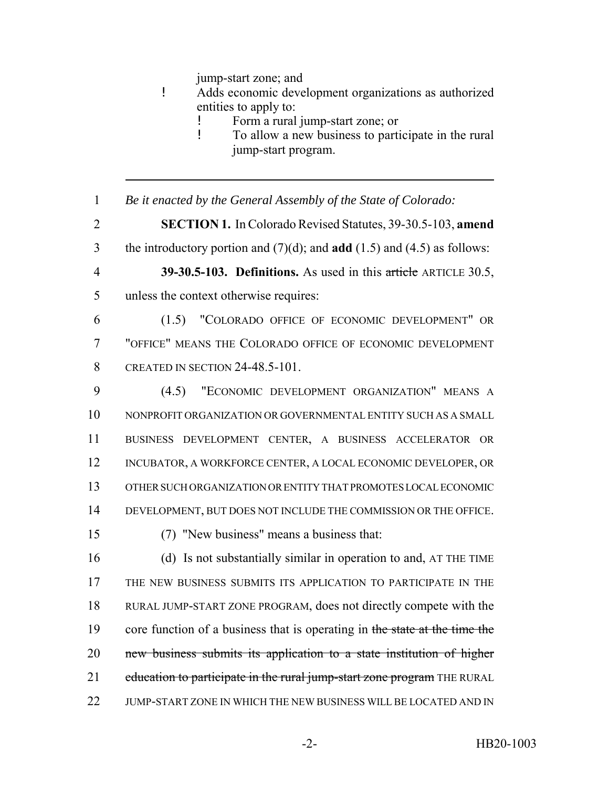jump-start zone; and

- ! Adds economic development organizations as authorized entities to apply to:
	- Form a rural jump-start zone; or
	- ! To allow a new business to participate in the rural jump-start program.
- *Be it enacted by the General Assembly of the State of Colorado:*
- **SECTION 1.** In Colorado Revised Statutes, 39-30.5-103, **amend**
- the introductory portion and (7)(d); and **add** (1.5) and (4.5) as follows:
- **39-30.5-103. Definitions.** As used in this article ARTICLE 30.5,
- unless the context otherwise requires:
- (1.5) "COLORADO OFFICE OF ECONOMIC DEVELOPMENT" OR "OFFICE" MEANS THE COLORADO OFFICE OF ECONOMIC DEVELOPMENT CREATED IN SECTION 24-48.5-101.
- (4.5) "ECONOMIC DEVELOPMENT ORGANIZATION" MEANS A NONPROFIT ORGANIZATION OR GOVERNMENTAL ENTITY SUCH AS A SMALL BUSINESS DEVELOPMENT CENTER, A BUSINESS ACCELERATOR OR INCUBATOR, A WORKFORCE CENTER, A LOCAL ECONOMIC DEVELOPER, OR OTHER SUCH ORGANIZATION OR ENTITY THAT PROMOTES LOCAL ECONOMIC DEVELOPMENT, BUT DOES NOT INCLUDE THE COMMISSION OR THE OFFICE.
- (7) "New business" means a business that:
- (d) Is not substantially similar in operation to and, AT THE TIME THE NEW BUSINESS SUBMITS ITS APPLICATION TO PARTICIPATE IN THE RURAL JUMP-START ZONE PROGRAM, does not directly compete with the 19 core function of a business that is operating in the state at the time the new business submits its application to a state institution of higher 21 education to participate in the rural jump-start zone program THE RURAL 22 JUMP-START ZONE IN WHICH THE NEW BUSINESS WILL BE LOCATED AND IN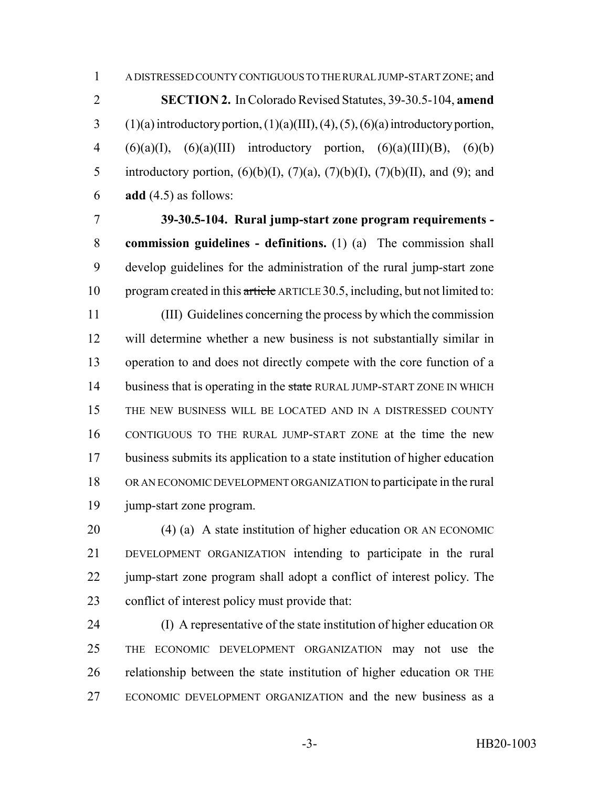**SECTION 2.** In Colorado Revised Statutes, 39-30.5-104, **amend** 3 (1)(a) introductory portion,  $(1)(a)(III)$ ,  $(4)$ ,  $(5)$ ,  $(6)(a)$  introductory portion, 4 (6)(a)(I), (6)(a)(III) introductory portion, (6)(a)(III)(B), (6)(b) 5 introductory portion,  $(6)(b)(I)$ ,  $(7)(a)$ ,  $(7)(b)(I)$ ,  $(7)(b)(II)$ , and  $(9)$ ; and **add** (4.5) as follows:

 **39-30.5-104. Rural jump-start zone program requirements - commission guidelines - definitions.** (1) (a) The commission shall develop guidelines for the administration of the rural jump-start zone 10 program created in this article ARTICLE 30.5, including, but not limited to:

 (III) Guidelines concerning the process by which the commission will determine whether a new business is not substantially similar in operation to and does not directly compete with the core function of a 14 business that is operating in the state RURAL JUMP-START ZONE IN WHICH THE NEW BUSINESS WILL BE LOCATED AND IN A DISTRESSED COUNTY CONTIGUOUS TO THE RURAL JUMP-START ZONE at the time the new business submits its application to a state institution of higher education OR AN ECONOMIC DEVELOPMENT ORGANIZATION to participate in the rural jump-start zone program.

 (4) (a) A state institution of higher education OR AN ECONOMIC DEVELOPMENT ORGANIZATION intending to participate in the rural 22 jump-start zone program shall adopt a conflict of interest policy. The conflict of interest policy must provide that:

 (I) A representative of the state institution of higher education OR THE ECONOMIC DEVELOPMENT ORGANIZATION may not use the relationship between the state institution of higher education OR THE ECONOMIC DEVELOPMENT ORGANIZATION and the new business as a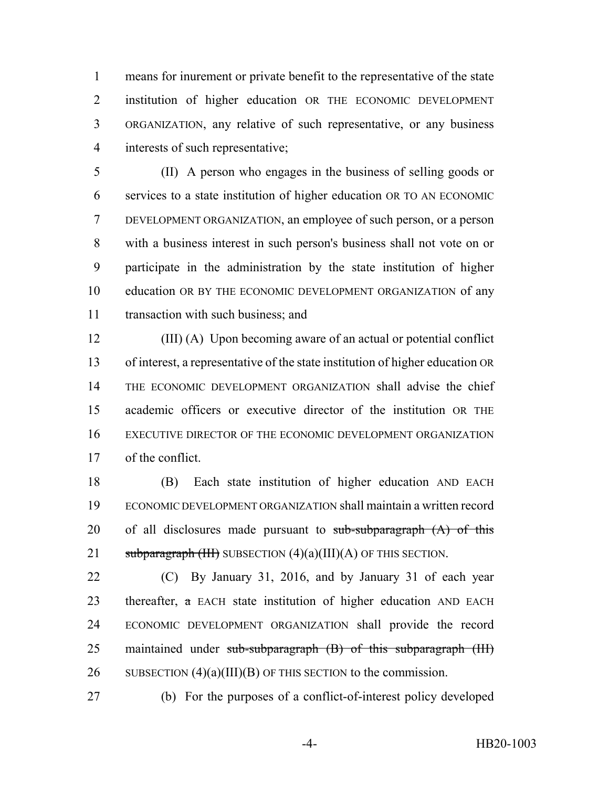means for inurement or private benefit to the representative of the state institution of higher education OR THE ECONOMIC DEVELOPMENT ORGANIZATION, any relative of such representative, or any business interests of such representative;

 (II) A person who engages in the business of selling goods or services to a state institution of higher education OR TO AN ECONOMIC DEVELOPMENT ORGANIZATION, an employee of such person, or a person with a business interest in such person's business shall not vote on or participate in the administration by the state institution of higher education OR BY THE ECONOMIC DEVELOPMENT ORGANIZATION of any transaction with such business; and

 (III) (A) Upon becoming aware of an actual or potential conflict of interest, a representative of the state institution of higher education OR THE ECONOMIC DEVELOPMENT ORGANIZATION shall advise the chief academic officers or executive director of the institution OR THE EXECUTIVE DIRECTOR OF THE ECONOMIC DEVELOPMENT ORGANIZATION of the conflict.

 (B) Each state institution of higher education AND EACH ECONOMIC DEVELOPMENT ORGANIZATION shall maintain a written record 20 of all disclosures made pursuant to  $sub-subparagraph (A)$  of this 21 subparagraph  $(HH)$  SUBSECTION  $(4)(a)(III)(A)$  OF THIS SECTION.

 (C) By January 31, 2016, and by January 31 of each year 23 thereafter,  $\alpha$  EACH state institution of higher education AND EACH ECONOMIC DEVELOPMENT ORGANIZATION shall provide the record 25 maintained under sub-subparagraph (B) of this subparagraph (III) 26 SUBSECTION (4)(a)(III)(B) OF THIS SECTION to the commission.

(b) For the purposes of a conflict-of-interest policy developed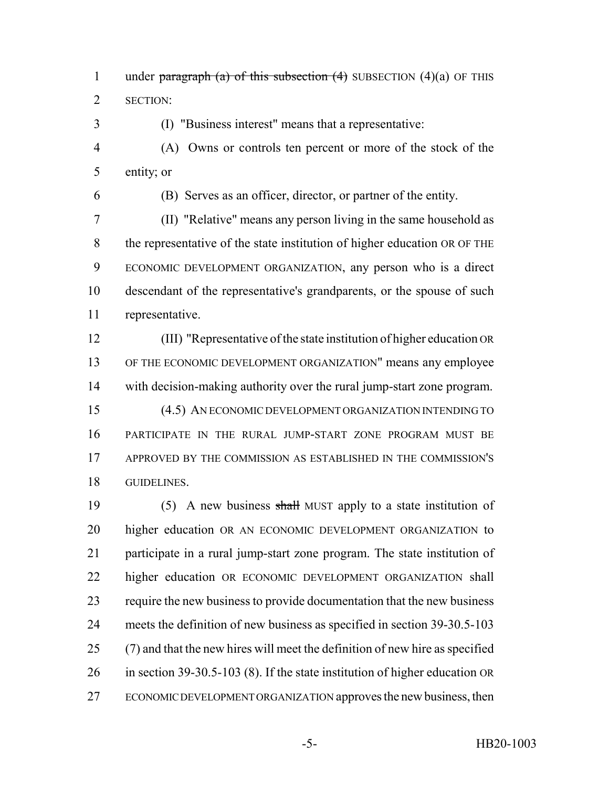1 under paragraph (a) of this subsection  $(4)$  SUBSECTION  $(4)(a)$  OF THIS SECTION:

(I) "Business interest" means that a representative:

 (A) Owns or controls ten percent or more of the stock of the entity; or

(B) Serves as an officer, director, or partner of the entity.

 (II) "Relative" means any person living in the same household as the representative of the state institution of higher education OR OF THE ECONOMIC DEVELOPMENT ORGANIZATION, any person who is a direct descendant of the representative's grandparents, or the spouse of such representative.

 (III) "Representative of the state institution of higher education OR OF THE ECONOMIC DEVELOPMENT ORGANIZATION" means any employee with decision-making authority over the rural jump-start zone program. (4.5) AN ECONOMIC DEVELOPMENT ORGANIZATION INTENDING TO PARTICIPATE IN THE RURAL JUMP-START ZONE PROGRAM MUST BE APPROVED BY THE COMMISSION AS ESTABLISHED IN THE COMMISSION'S GUIDELINES.

19 (5) A new business shall MUST apply to a state institution of higher education OR AN ECONOMIC DEVELOPMENT ORGANIZATION to participate in a rural jump-start zone program. The state institution of higher education OR ECONOMIC DEVELOPMENT ORGANIZATION shall require the new business to provide documentation that the new business meets the definition of new business as specified in section 39-30.5-103 (7) and that the new hires will meet the definition of new hire as specified in section 39-30.5-103 (8). If the state institution of higher education OR ECONOMIC DEVELOPMENT ORGANIZATION approves the new business, then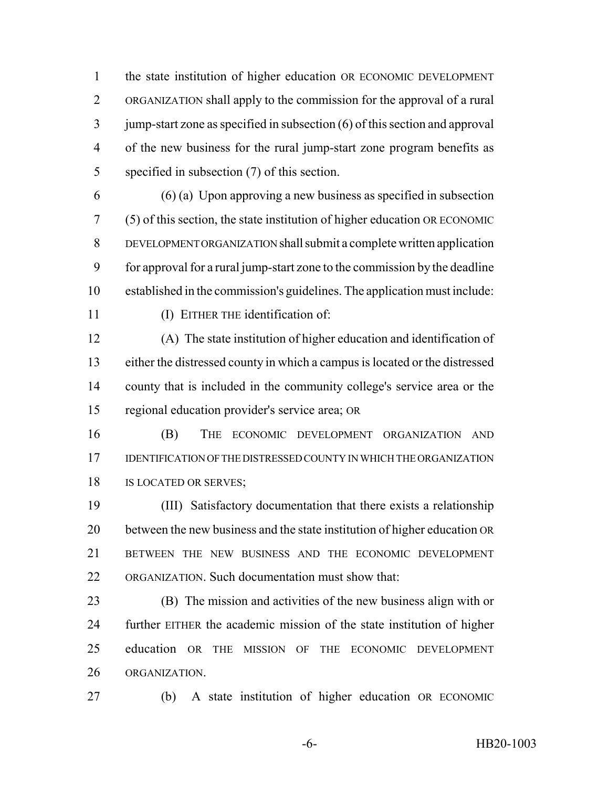the state institution of higher education OR ECONOMIC DEVELOPMENT ORGANIZATION shall apply to the commission for the approval of a rural jump-start zone as specified in subsection (6) of this section and approval of the new business for the rural jump-start zone program benefits as specified in subsection (7) of this section.

 (6) (a) Upon approving a new business as specified in subsection (5) of this section, the state institution of higher education OR ECONOMIC DEVELOPMENT ORGANIZATION shall submit a complete written application for approval for a rural jump-start zone to the commission by the deadline established in the commission's guidelines. The application must include: 11 (I) EITHER THE identification of:

 (A) The state institution of higher education and identification of either the distressed county in which a campus is located or the distressed county that is included in the community college's service area or the regional education provider's service area; OR

 (B) THE ECONOMIC DEVELOPMENT ORGANIZATION AND IDENTIFICATION OF THE DISTRESSED COUNTY IN WHICH THE ORGANIZATION 18 IS LOCATED OR SERVES;

 (III) Satisfactory documentation that there exists a relationship between the new business and the state institution of higher education OR BETWEEN THE NEW BUSINESS AND THE ECONOMIC DEVELOPMENT ORGANIZATION. Such documentation must show that:

 (B) The mission and activities of the new business align with or further EITHER the academic mission of the state institution of higher education OR THE MISSION OF THE ECONOMIC DEVELOPMENT ORGANIZATION.

(b) A state institution of higher education OR ECONOMIC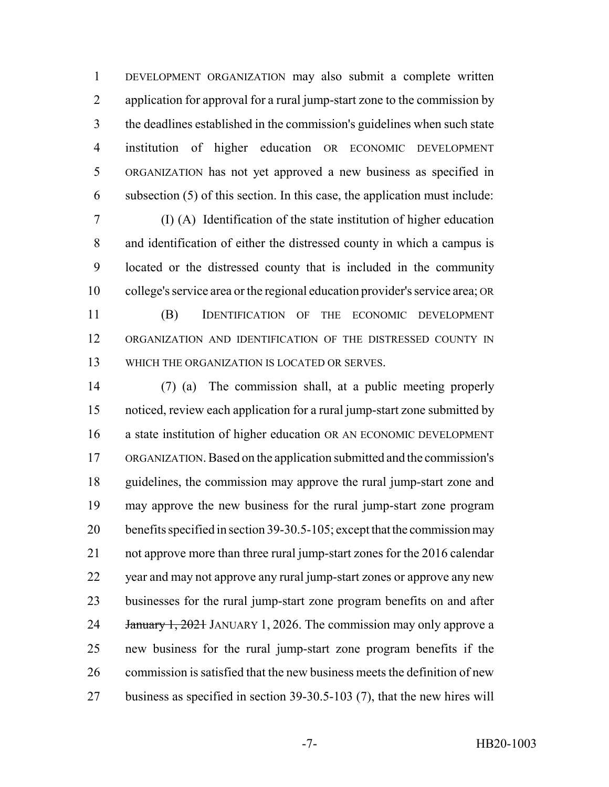DEVELOPMENT ORGANIZATION may also submit a complete written 2 application for approval for a rural jump-start zone to the commission by the deadlines established in the commission's guidelines when such state institution of higher education OR ECONOMIC DEVELOPMENT ORGANIZATION has not yet approved a new business as specified in subsection (5) of this section. In this case, the application must include:

 (I) (A) Identification of the state institution of higher education and identification of either the distressed county in which a campus is located or the distressed county that is included in the community college's service area or the regional education provider's service area; OR (B) IDENTIFICATION OF THE ECONOMIC DEVELOPMENT ORGANIZATION AND IDENTIFICATION OF THE DISTRESSED COUNTY IN

WHICH THE ORGANIZATION IS LOCATED OR SERVES.

 (7) (a) The commission shall, at a public meeting properly noticed, review each application for a rural jump-start zone submitted by a state institution of higher education OR AN ECONOMIC DEVELOPMENT ORGANIZATION. Based on the application submitted and the commission's guidelines, the commission may approve the rural jump-start zone and may approve the new business for the rural jump-start zone program benefits specified in section 39-30.5-105; except that the commission may not approve more than three rural jump-start zones for the 2016 calendar year and may not approve any rural jump-start zones or approve any new businesses for the rural jump-start zone program benefits on and after 24 January 1, 2021 JANUARY 1, 2026. The commission may only approve a new business for the rural jump-start zone program benefits if the commission is satisfied that the new business meets the definition of new business as specified in section 39-30.5-103 (7), that the new hires will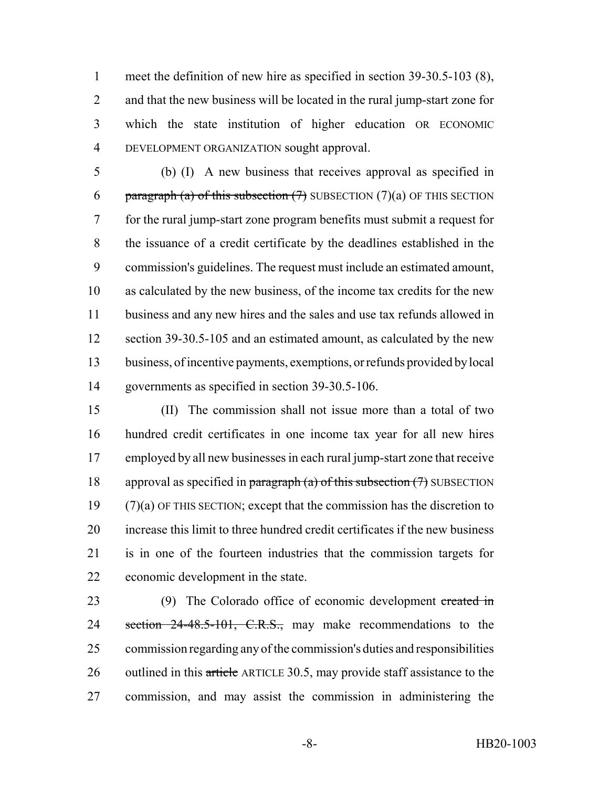meet the definition of new hire as specified in section 39-30.5-103 (8), and that the new business will be located in the rural jump-start zone for which the state institution of higher education OR ECONOMIC DEVELOPMENT ORGANIZATION sought approval.

 (b) (I) A new business that receives approval as specified in 6 paragraph (a) of this subsection  $(7)$  SUBSECTION  $(7)(a)$  OF THIS SECTION for the rural jump-start zone program benefits must submit a request for the issuance of a credit certificate by the deadlines established in the commission's guidelines. The request must include an estimated amount, as calculated by the new business, of the income tax credits for the new business and any new hires and the sales and use tax refunds allowed in 12 section 39-30.5-105 and an estimated amount, as calculated by the new business, of incentive payments, exemptions, or refunds provided by local governments as specified in section 39-30.5-106.

 (II) The commission shall not issue more than a total of two hundred credit certificates in one income tax year for all new hires employed by all new businesses in each rural jump-start zone that receive 18 approval as specified in paragraph (a) of this subsection  $(7)$  SUBSECTION (7)(a) OF THIS SECTION; except that the commission has the discretion to increase this limit to three hundred credit certificates if the new business is in one of the fourteen industries that the commission targets for economic development in the state.

23 (9) The Colorado office of economic development created in 24 section 24-48.5-101, C.R.S., may make recommendations to the commission regarding any of the commission's duties and responsibilities 26 outlined in this article ARTICLE 30.5, may provide staff assistance to the commission, and may assist the commission in administering the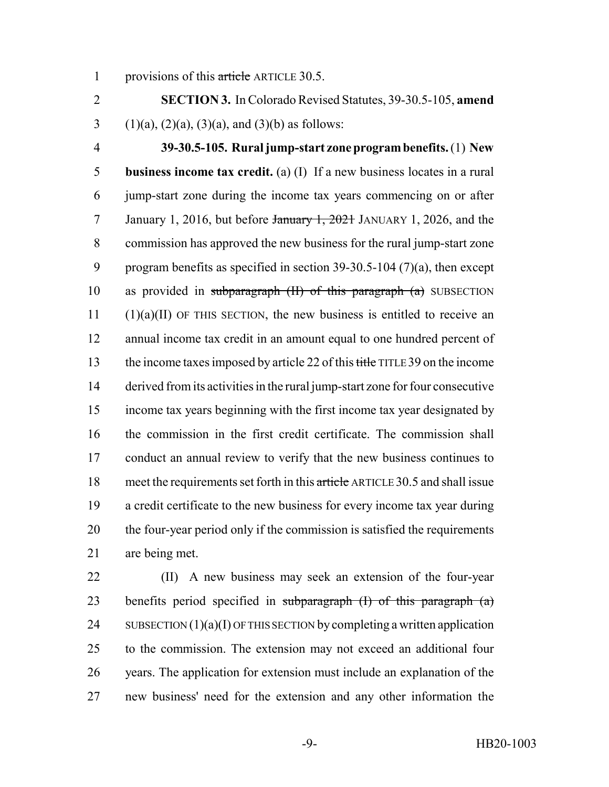1 provisions of this article ARTICLE 30.5.

 **SECTION 3.** In Colorado Revised Statutes, 39-30.5-105, **amend** 3 (1)(a), (2)(a), (3)(a), and (3)(b) as follows:

 **39-30.5-105. Rural jump-start zone program benefits.** (1) **New business income tax credit.** (a) (I) If a new business locates in a rural jump-start zone during the income tax years commencing on or after 7 January 1, 2016, but before January 1, 2021 JANUARY 1, 2026, and the commission has approved the new business for the rural jump-start zone program benefits as specified in section 39-30.5-104 (7)(a), then except 10 as provided in subparagraph  $(H)$  of this paragraph  $(a)$  SUBSECTION (1)(a)(II) OF THIS SECTION, the new business is entitled to receive an annual income tax credit in an amount equal to one hundred percent of 13 the income taxes imposed by article 22 of this title TITLE 39 on the income derived from its activities in the rural jump-start zone for four consecutive income tax years beginning with the first income tax year designated by the commission in the first credit certificate. The commission shall conduct an annual review to verify that the new business continues to 18 meet the requirements set forth in this article ARTICLE 30.5 and shall issue a credit certificate to the new business for every income tax year during the four-year period only if the commission is satisfied the requirements are being met.

 (II) A new business may seek an extension of the four-year 23 benefits period specified in subparagraph  $(I)$  of this paragraph  $(a)$ 24 SUBSECTION  $(1)(a)(I)$  OF THIS SECTION by completing a written application to the commission. The extension may not exceed an additional four years. The application for extension must include an explanation of the new business' need for the extension and any other information the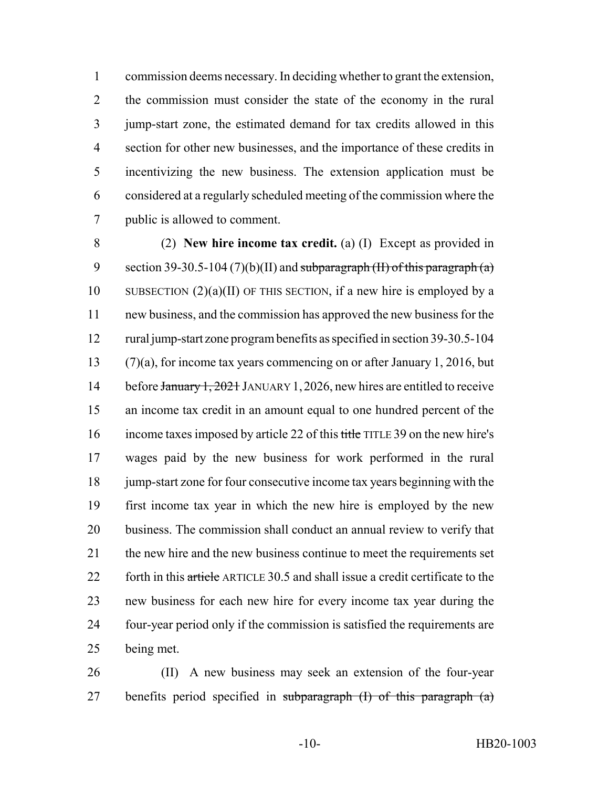commission deems necessary. In deciding whether to grant the extension, the commission must consider the state of the economy in the rural jump-start zone, the estimated demand for tax credits allowed in this section for other new businesses, and the importance of these credits in incentivizing the new business. The extension application must be considered at a regularly scheduled meeting of the commission where the public is allowed to comment.

 (2) **New hire income tax credit.** (a) (I) Except as provided in 9 section 39-30.5-104 (7)(b)(II) and subparagraph (II) of this paragraph (a) 10 SUBSECTION  $(2)(a)(II)$  OF THIS SECTION, if a new hire is employed by a new business, and the commission has approved the new business for the rural jump-start zone program benefits as specified in section 39-30.5-104 (7)(a), for income tax years commencing on or after January 1, 2016, but 14 before January 1, 2021 JANUARY 1, 2026, new hires are entitled to receive an income tax credit in an amount equal to one hundred percent of the income taxes imposed by article 22 of this title TITLE 39 on the new hire's wages paid by the new business for work performed in the rural 18 jump-start zone for four consecutive income tax years beginning with the first income tax year in which the new hire is employed by the new business. The commission shall conduct an annual review to verify that 21 the new hire and the new business continue to meet the requirements set 22 forth in this article ARTICLE 30.5 and shall issue a credit certificate to the new business for each new hire for every income tax year during the four-year period only if the commission is satisfied the requirements are being met.

 (II) A new business may seek an extension of the four-year 27 benefits period specified in subparagraph  $(I)$  of this paragraph  $(a)$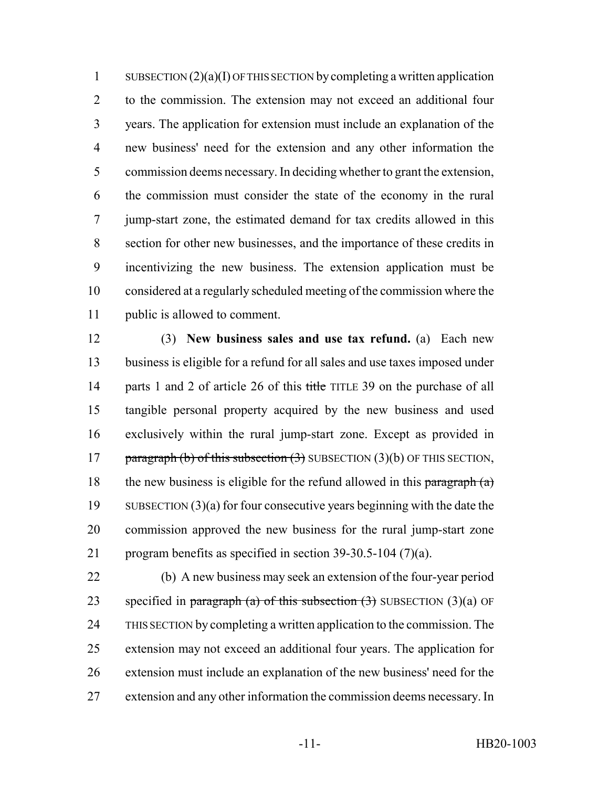1 SUBSECTION  $(2)(a)(I)$  OF THIS SECTION by completing a written application to the commission. The extension may not exceed an additional four years. The application for extension must include an explanation of the new business' need for the extension and any other information the commission deems necessary. In deciding whether to grant the extension, the commission must consider the state of the economy in the rural jump-start zone, the estimated demand for tax credits allowed in this section for other new businesses, and the importance of these credits in incentivizing the new business. The extension application must be considered at a regularly scheduled meeting of the commission where the public is allowed to comment.

 (3) **New business sales and use tax refund.** (a) Each new business is eligible for a refund for all sales and use taxes imposed under 14 parts 1 and 2 of article 26 of this title TITLE 39 on the purchase of all tangible personal property acquired by the new business and used exclusively within the rural jump-start zone. Except as provided in 17 paragraph (b) of this subsection  $(3)$  SUBSECTION  $(3)(b)$  OF THIS SECTION, 18 the new business is eligible for the refund allowed in this paragraph  $(a)$  SUBSECTION (3)(a) for four consecutive years beginning with the date the commission approved the new business for the rural jump-start zone program benefits as specified in section 39-30.5-104 (7)(a).

 (b) A new business may seek an extension of the four-year period 23 specified in paragraph (a) of this subsection  $(3)$  SUBSECTION  $(3)(a)$  OF THIS SECTION by completing a written application to the commission. The extension may not exceed an additional four years. The application for extension must include an explanation of the new business' need for the extension and any other information the commission deems necessary. In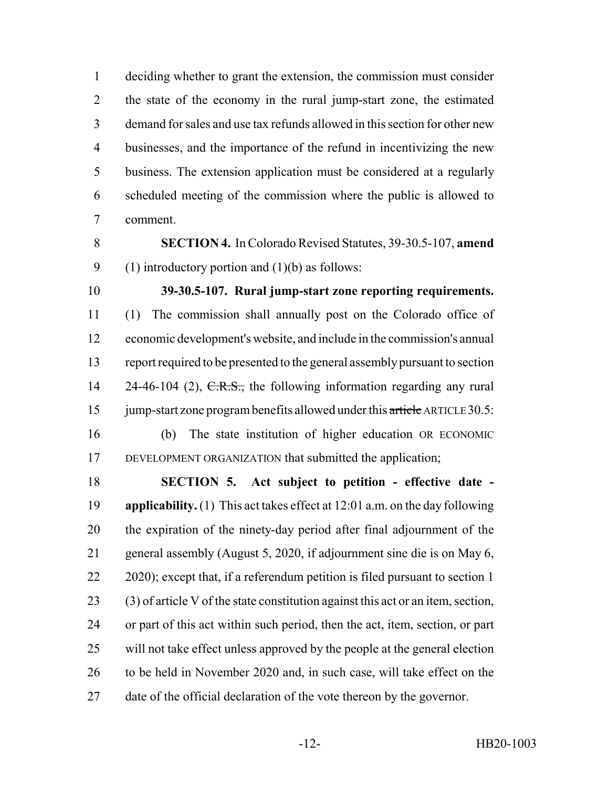deciding whether to grant the extension, the commission must consider the state of the economy in the rural jump-start zone, the estimated demand for sales and use tax refunds allowed in this section for other new businesses, and the importance of the refund in incentivizing the new business. The extension application must be considered at a regularly scheduled meeting of the commission where the public is allowed to comment.

- **SECTION 4.** In Colorado Revised Statutes, 39-30.5-107, **amend** 9 (1) introductory portion and  $(1)(b)$  as follows:
- 

**39-30.5-107. Rural jump-start zone reporting requirements.**

 (1) The commission shall annually post on the Colorado office of economic development's website, and include in the commission's annual report required to be presented to the general assembly pursuant to section 14 24-46-104 (2),  $C.R.S.,$  the following information regarding any rural 15 jump-start zone program benefits allowed under this article ARTICLE 30.5:

 (b) The state institution of higher education OR ECONOMIC DEVELOPMENT ORGANIZATION that submitted the application;

 **SECTION 5. Act subject to petition - effective date - applicability.** (1) This act takes effect at 12:01 a.m. on the day following the expiration of the ninety-day period after final adjournment of the general assembly (August 5, 2020, if adjournment sine die is on May 6, 22 2020); except that, if a referendum petition is filed pursuant to section 1 (3) of article V of the state constitution against this act or an item, section, or part of this act within such period, then the act, item, section, or part will not take effect unless approved by the people at the general election to be held in November 2020 and, in such case, will take effect on the date of the official declaration of the vote thereon by the governor.